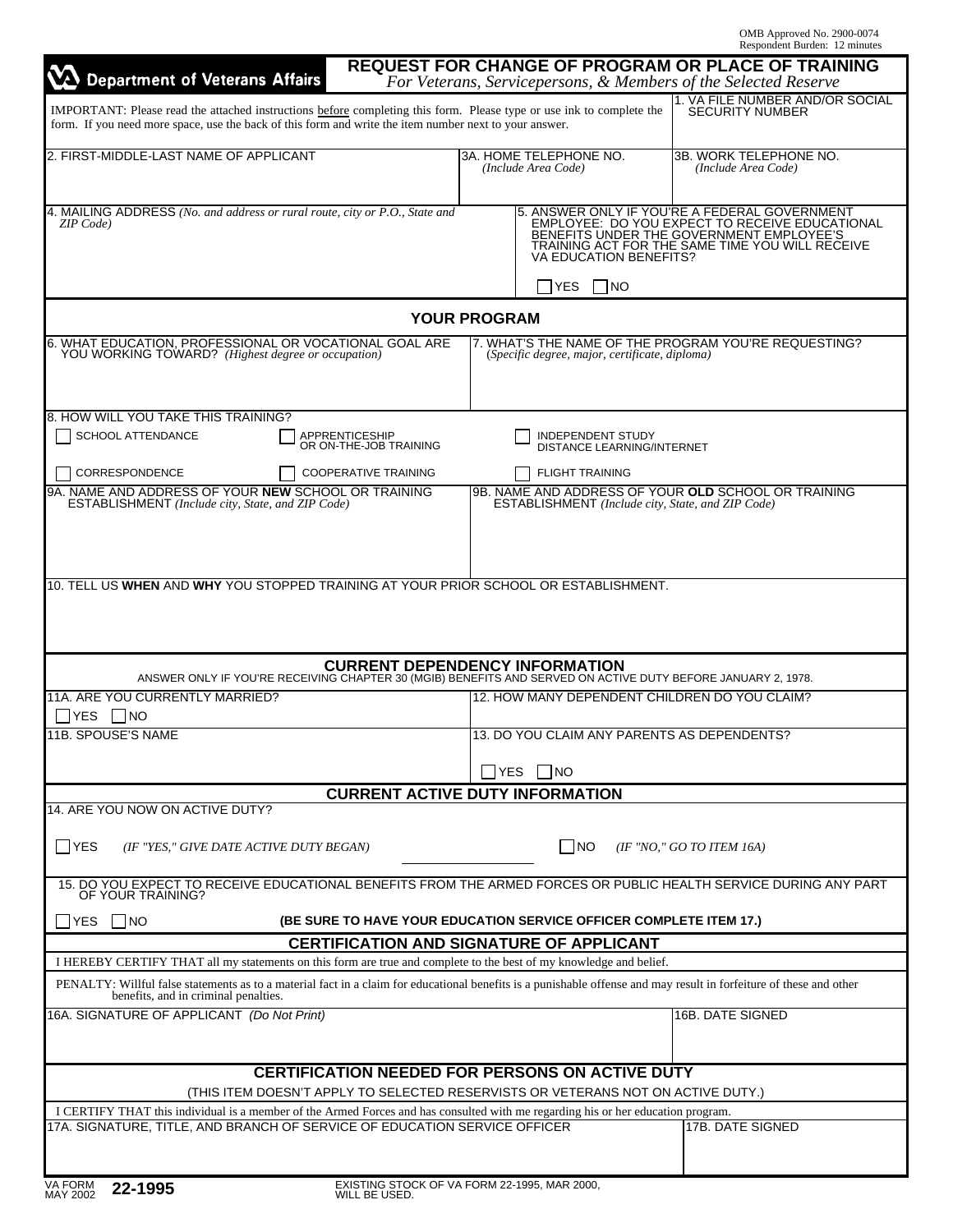| <b>Department of Veterans Affairs</b>                                                                                                                                                                                                                                                     |                                                 |                                                                                  | <b>REQUEST FOR CHANGE OF PROGRAM OR PLACE OF TRAINING</b><br>For Veterans, Servicepersons, & Members of the Selected Reserve                                                                                          |
|-------------------------------------------------------------------------------------------------------------------------------------------------------------------------------------------------------------------------------------------------------------------------------------------|-------------------------------------------------|----------------------------------------------------------------------------------|-----------------------------------------------------------------------------------------------------------------------------------------------------------------------------------------------------------------------|
| IMPORTANT: Please read the attached instructions before completing this form. Please type or use ink to complete the<br>form. If you need more space, use the back of this form and write the item number next to your answer.                                                            |                                                 |                                                                                  | 1. VA FILE NUMBER AND/OR SOCIAL<br><b>SECURITY NUMBER</b>                                                                                                                                                             |
| 2. FIRST-MIDDLE-LAST NAME OF APPLICANT                                                                                                                                                                                                                                                    |                                                 | 3A. HOME TELEPHONE NO.<br>(Include Area Code)                                    | 3B. WORK TELEPHONE NO.<br>(Include Area Code)                                                                                                                                                                         |
| 4. MAILING ADDRESS (No. and address or rural route, city or P.O., State and<br>ZIP Code                                                                                                                                                                                                   |                                                 |                                                                                  | ANSWER ONLY IF YOU'RE A FEDERAL GOVERNMENT<br>EMPLOYEE: DO YOU EXPECT TO RECEIVE EDUCATIONAL<br>BENEFITS UNDER THE GOVERNMENT EMPLOYEE'S<br>TRAINING ACT FOR THE SAME TIME YOU WILL RECEIVE<br>VA EDUCATION BENEFITS? |
|                                                                                                                                                                                                                                                                                           |                                                 | $\square$ no<br><b>YES</b>                                                       |                                                                                                                                                                                                                       |
| 6. WHAT EDUCATION, PROFESSIONAL OR VOCATIONAL GOAL ARE                                                                                                                                                                                                                                    | <b>YOUR PROGRAM</b>                             |                                                                                  | 7. WHAT'S THE NAME OF THE PROGRAM YOU'RE REQUESTING?                                                                                                                                                                  |
| YOU WORKING TOWARD? (Highest degree or occupation)                                                                                                                                                                                                                                        |                                                 | (Specific degree, major, certificate, diploma)                                   |                                                                                                                                                                                                                       |
| 8. HOW WILL YOU TAKE THIS TRAINING?                                                                                                                                                                                                                                                       |                                                 |                                                                                  |                                                                                                                                                                                                                       |
| SCHOOL ATTENDANCE                                                                                                                                                                                                                                                                         | APPRENTICESHIP<br>OR ON-THE-JOB TRAINING        | INDEPENDENT STUDY<br><b>DISTANCE LEARNING/INTERNET</b>                           |                                                                                                                                                                                                                       |
| CORRESPONDENCE                                                                                                                                                                                                                                                                            | COOPERATIVE TRAINING                            | <b>FLIGHT TRAINING</b>                                                           |                                                                                                                                                                                                                       |
| 9A. NAME AND ADDRESS OF YOUR NEW SCHOOL OR TRAINING<br>ESTABLISHMENT (Include city, State, and ZIP Code)                                                                                                                                                                                  |                                                 | ESTABLISHMENT (Include city, State, and ZIP Code)                                | 9B. NAME AND ADDRESS OF YOUR OLD SCHOOL OR TRAINING                                                                                                                                                                   |
|                                                                                                                                                                                                                                                                                           | <b>CURRENT DEPENDENCY INFORMATION</b>           |                                                                                  |                                                                                                                                                                                                                       |
| ANSWER ONLY IF YOU'RE RECEIVING CHAPTER 30 (MGIB) BENEFITS AND SERVED ON ACTIVE DUTY BEFORE JANUARY 2, 1978.<br>11A. ARE YOU CURRENTLY MARRIED?                                                                                                                                           |                                                 | 12. HOW MANY DEPENDENT CHILDREN DO YOU CLAIM?                                    |                                                                                                                                                                                                                       |
| YES   NO<br>11B. SPOUSE'S NAME                                                                                                                                                                                                                                                            |                                                 | 13. DO YOU CLAIM ANY PARENTS AS DEPENDENTS?                                      |                                                                                                                                                                                                                       |
|                                                                                                                                                                                                                                                                                           |                                                 |                                                                                  |                                                                                                                                                                                                                       |
|                                                                                                                                                                                                                                                                                           |                                                 | □YES □NO                                                                         |                                                                                                                                                                                                                       |
| 14. ARE YOU NOW ON ACTIVE DUTY?                                                                                                                                                                                                                                                           | <b>CURRENT ACTIVE DUTY INFORMATION</b>          |                                                                                  |                                                                                                                                                                                                                       |
| <b>FYES</b><br>(IF "YES," GIVE DATE ACTIVE DUTY BEGAN)                                                                                                                                                                                                                                    |                                                 | I NO                                                                             | (IF "NO," GO TO ITEM 16A)                                                                                                                                                                                             |
| 15. DO YOU EXPECT TO RECEIVE EDUCATIONAL BENEFITS FROM THE ARMED FORCES OR PUBLIC HEALTH SERVICE DURING ANY PART<br>OF YOUR TRAINING?                                                                                                                                                     |                                                 |                                                                                  |                                                                                                                                                                                                                       |
| $\Box$ NO<br>$\Box$ YES                                                                                                                                                                                                                                                                   |                                                 | (BE SURE TO HAVE YOUR EDUCATION SERVICE OFFICER COMPLETE ITEM 17.)               |                                                                                                                                                                                                                       |
|                                                                                                                                                                                                                                                                                           | <b>CERTIFICATION AND SIGNATURE OF APPLICANT</b> |                                                                                  |                                                                                                                                                                                                                       |
| I HEREBY CERTIFY THAT all my statements on this form are true and complete to the best of my knowledge and belief.<br>PENALTY: Willful false statements as to a material fact in a claim for educational benefits is a punishable offense and may result in forfeiture of these and other |                                                 |                                                                                  |                                                                                                                                                                                                                       |
| benefits, and in criminal penalties.                                                                                                                                                                                                                                                      |                                                 |                                                                                  |                                                                                                                                                                                                                       |
| 16A. SIGNATURE OF APPLICANT (Do Not Print)                                                                                                                                                                                                                                                |                                                 |                                                                                  | 16B. DATE SIGNED                                                                                                                                                                                                      |
|                                                                                                                                                                                                                                                                                           |                                                 | <b>CERTIFICATION NEEDED FOR PERSONS ON ACTIVE DUTY</b>                           |                                                                                                                                                                                                                       |
|                                                                                                                                                                                                                                                                                           |                                                 | (THIS ITEM DOESN'T APPLY TO SELECTED RESERVISTS OR VETERANS NOT ON ACTIVE DUTY.) |                                                                                                                                                                                                                       |
| I CERTIFY THAT this individual is a member of the Armed Forces and has consulted with me regarding his or her education program.<br>17A. SIGNATURE, TITLE, AND BRANCH OF SERVICE OF EDUCATION SERVICE OFFICER                                                                             |                                                 |                                                                                  | 17B. DATE SIGNED                                                                                                                                                                                                      |
|                                                                                                                                                                                                                                                                                           |                                                 |                                                                                  |                                                                                                                                                                                                                       |
|                                                                                                                                                                                                                                                                                           |                                                 |                                                                                  |                                                                                                                                                                                                                       |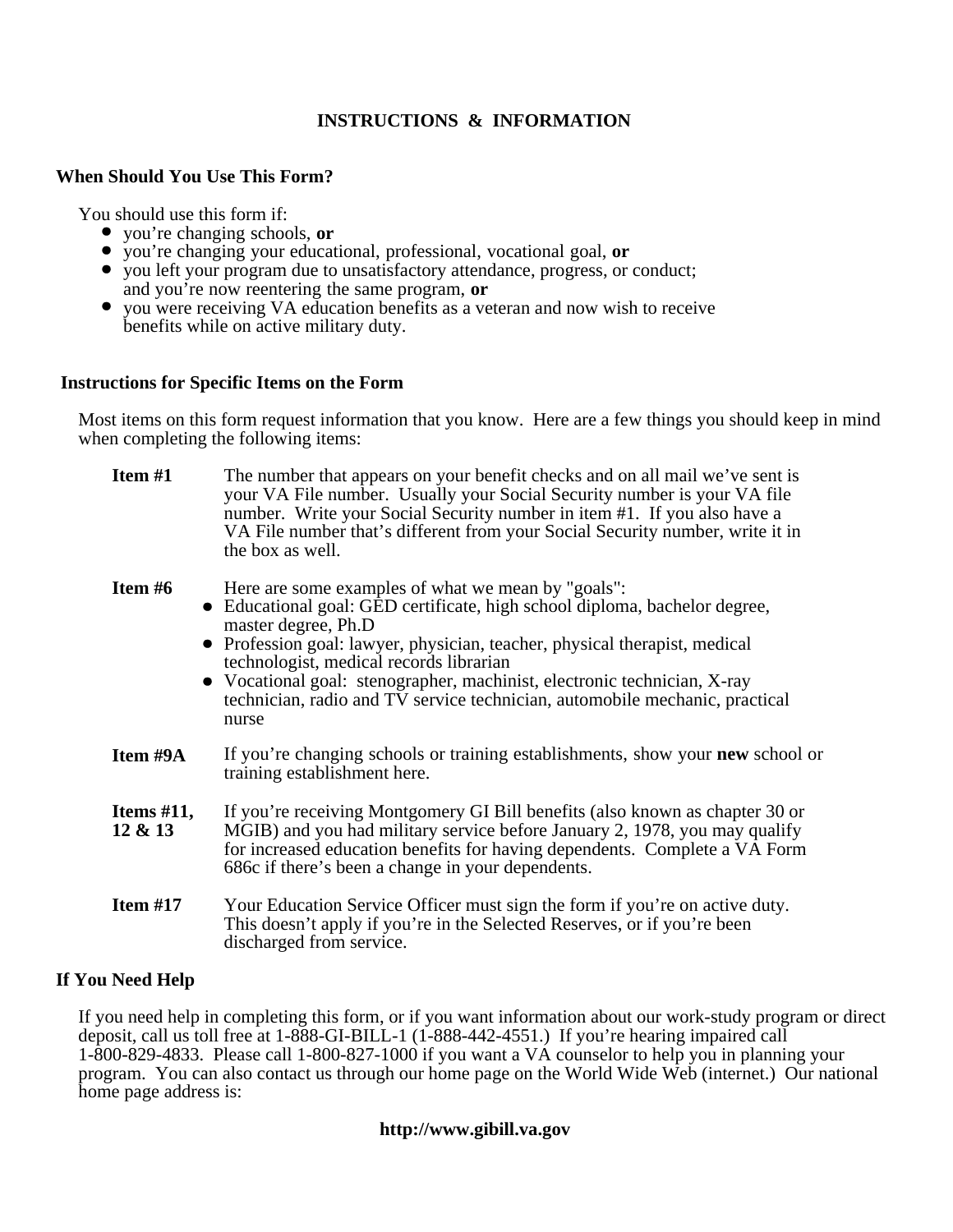# **INSTRUCTIONS & INFORMATION**

# **When Should You Use This Form?**

You should use this form if:

- you're changing schools, **or**
- you're changing your educational, professional, vocational goal, **or**
- you left your program due to unsatisfactory attendance, progress, or conduct; and you're now reentering the same program, **or**
- you were receiving VA education benefits as a veteran and now wish to receive benefits while on active military duty.

### **Instructions for Specific Items on the Form**

Most items on this form request information that you know. Here are a few things you should keep in mind when completing the following items:

| Item $#1$                | The number that appears on your benefit checks and on all mail we've sent is<br>your VA File number. Usually your Social Security number is your VA file<br>number. Write your Social Security number in item #1. If you also have a<br>VA File number that's different from your Social Security number, write it in<br>the box as well.                                                                                                            |
|--------------------------|------------------------------------------------------------------------------------------------------------------------------------------------------------------------------------------------------------------------------------------------------------------------------------------------------------------------------------------------------------------------------------------------------------------------------------------------------|
| Item $#6$                | Here are some examples of what we mean by "goals":<br>• Educational goal: GED certificate, high school diploma, bachelor degree,<br>master degree, Ph.D<br>• Profession goal: lawyer, physician, teacher, physical therapist, medical<br>technologist, medical records librarian<br>• Vocational goal: stenographer, machinist, electronic technician, X-ray<br>technician, radio and TV service technician, automobile mechanic, practical<br>nurse |
| Item #9A                 | If you're changing schools or training establishments, show your new school or<br>training establishment here.                                                                                                                                                                                                                                                                                                                                       |
| Items $#11$ ,<br>12 & 13 | If you're receiving Montgomery GI Bill benefits (also known as chapter 30 or<br>MGIB) and you had military service before January 2, 1978, you may qualify<br>for increased education benefits for having dependents. Complete a VA Form<br>686c if there's been a change in your dependents.                                                                                                                                                        |
| Item $#17$               | Your Education Service Officer must sign the form if you're on active duty.<br>This doesn't apply if you're in the Selected Reserves, or if you're been<br>discharged from service.                                                                                                                                                                                                                                                                  |

# **If You Need Help**

If you need help in completing this form, or if you want information about our work-study program or direct deposit, call us toll free at 1-888-GI-BILL-1 (1-888-442-4551.) If you're hearing impaired call 1-800-829-4833. Please call 1-800-827-1000 if you want a VA counselor to help you in planning your program. You can also contact us through our home page on the World Wide Web (internet.) Our national home page address is:

# **http://www.gibill.va.gov**